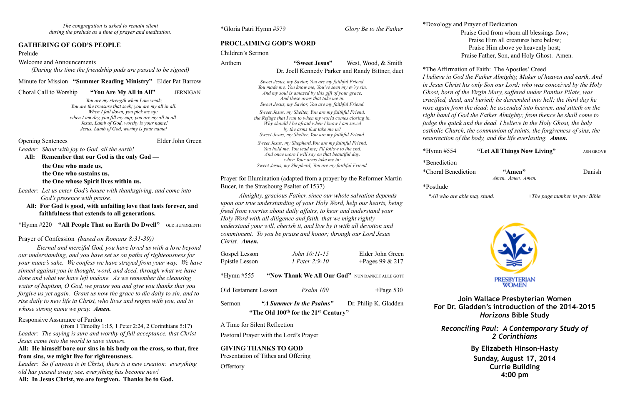**GATHERING OF GOD'S PEOPLE** 

Prelude

Welcome and Announcements

*(During this time the friendship pads are passed to be signed)* 

Minute for Mission **"Summer Reading Ministry"** Elder Pat Barrow

Choral Call to Worship **"You Are My All in All"** JERNIGAN

 *You are my strength when I am weak; You are the treasure that seek; you are my all in all. When I fall down, you pick me up; when I am dry, you fill my cup; you are my all in all. Jesus, Lamb of God, worthy is your name! Jesus, Lamb of God, worthy is your name!* 

Opening Sentences Elder John Green

*Leader: Shout with joy to God, all the earth!* 

**All: Remember that our God is the only God —** 

 **the One who made us,** 

 **the One who sustains us,**

 **the One whose Spirit lives within us.**

*Leader: Let us enter God's house with thanksgiving, and come into God's presence with praise.*

**All:****For God is good, with unfailing love that lasts forever, and faithfulness that extends to all generations.**

\*Hymn #220 "All People That on Earth Do Dwell" OLD HUNDREDTH

#### Prayer of Confession *(based on Romans 8:31-39))*

*Eternal and merciful God, you have loved us with a love beyond our understanding, and you have set us on paths of righteousness for your name's sake. We confess we have strayed from your way. We have sinned against you in thought, word, and deed, through what we have done and what we have left undone. As we remember the cleansing water of baptism, O God, we praise you and give you thanks that you forgive us yet again. Grant us now the grace to die daily to sin, and to rise daily to new life in Christ, who lives and reigns with you, and in whose strong name we pray. Amen.*

#### Responsive Assurance of Pardon

(from 1 Timothy 1:15, 1 Peter 2:24, 2 Corinthians 5:17) *Leader: The saying is sure and worthy of full acceptance, that Christ Jesus came into the world to save sinners.*

| Anthem         | "Sweet Jesus"                                                                                                                                                                                                                                                                                                                                                                                                             | West, Wood, & Smith<br>Dr. Joell Kennedy Parker and Randy Bittner, duet |
|----------------|---------------------------------------------------------------------------------------------------------------------------------------------------------------------------------------------------------------------------------------------------------------------------------------------------------------------------------------------------------------------------------------------------------------------------|-------------------------------------------------------------------------|
|                | Sweet Jesus, my Savior, You are my faithful Friend.<br>You made me, You know me, You've seen my ev'ry sin.<br>And my soul is amazed by this gift of your grace,<br>And these arms that take me in.<br>Sweet Jesus, my Savior, You are my faithful Friend.                                                                                                                                                                 |                                                                         |
|                | Sweet Jesus, my Shelter, You are my faithful Friend.<br>the Refuge that I run to when my world comes closing in.<br>Why should I be afraid when I know I am saved<br>by the arms that take me in?<br>Sweet Jesus, my Shelter, You are my faithful Friend.                                                                                                                                                                 |                                                                         |
|                | Sweet Jesus, my Shepherd, You are my faithful Friend.<br>You hold me, You lead me; I'll follow to the end.<br>And once more I will say on that beautiful day,<br>when Your arms take me in:<br>Sweet Jesus, my Shepherd, You are my faithful Friend.                                                                                                                                                                      |                                                                         |
|                | Prayer for Illumination (adapted from a prayer by the Reformer Martin<br>Bucer, in the Strasbourg Psalter of 1537)                                                                                                                                                                                                                                                                                                        |                                                                         |
| Christ. Amen.  | Almighty, gracious Father, since our whole salvation depends<br>upon our true understanding of your Holy Word, help our hearts, being<br>freed from worries about daily affairs, to hear and understand your<br>Holy Word with all diligence and faith, that we might rightly<br>understand your will, cherish it, and live by it with all devotion and<br>commitment. To you be praise and honor; through our Lord Jesus |                                                                         |
| Gospel Lesson  | John 10:11-15                                                                                                                                                                                                                                                                                                                                                                                                             | Elder John Green                                                        |
| Epistle Lesson | 1 Peter 2:9-10<br>"Now Thank We All Our God" NUN DANKET ALLE GOTT                                                                                                                                                                                                                                                                                                                                                         | +Pages 99 & 217                                                         |

Old Testament Lesson *Psalm 100* + Page 530 Sermon *"A Summer In the Psalms"*Dr. Philip K. Gladden **"The Old 100th for the 21st Century"**

**All: He himself bore our sins in his body on the cross, so that, free from sins, we might live for righteousness.** 

*Leader: So if anyone is in Christ, there is a new creation: everything old has passed away; see, everything has become new!* 

**All: In Jesus Christ, we are forgiven. Thanks be to God.**

#### \*Gloria Patri Hymn #579 *Glory Be to the Father*

#### **PROCLAIMING GOD'S WORD**

Children's Sermon

A Time for Silent Reflection

Pastoral Prayer with the Lord's Prayer

#### **GIVING THANKS TO GOD**

Presentation of Tithes and Offering

**Offertory** 

\*Doxology and Prayer of Dedication

Praise God from whom all blessings flow; Praise Him all creatures here below; Praise Him above ye heavenly host; Praise Father, Son, and Holy Ghost. Amen.

\*Hymn #554 **"Let All Things Now Living"** ASH GROVE

\*The Affirmation of Faith: The Apostles' Creed *I believe in God the Father Almighty, Maker of heaven and earth, And in Jesus Christ his only Son our Lord; who was conceived by the Holy Ghost, born of the Virgin Mary, suffered under Pontius Pilate, was crucified, dead, and buried; he descended into hell; the third day he rose again from the dead; he ascended into heaven, and sitteth on the right hand of God the Father Almighty; from thence he shall come to judge the quick and the dead. I believe in the Holy Ghost, the holy catholic Church, the communion of saints, the forgiveness of sins, the resurrection of the body, and the life everlasting. Amen.*

\*Benediction

\*Choral Benediction **"Amen"** Danish *Amen. Amen. Amen.* 

\*Postlude

\**All who are able may stand. +The page number in pew Bible* 



**Join Wallace Presbyterian Women For Dr. Gladden's introduction of the 2014-2015**  *Horizons* **Bible Study** 

*Reconciling Paul: A Contemporary Study of 2 Corinthians* 

> **By Elizabeth Hinson-Hasty Sunday, August 17, 2014 Currie Building 4:00 pm**